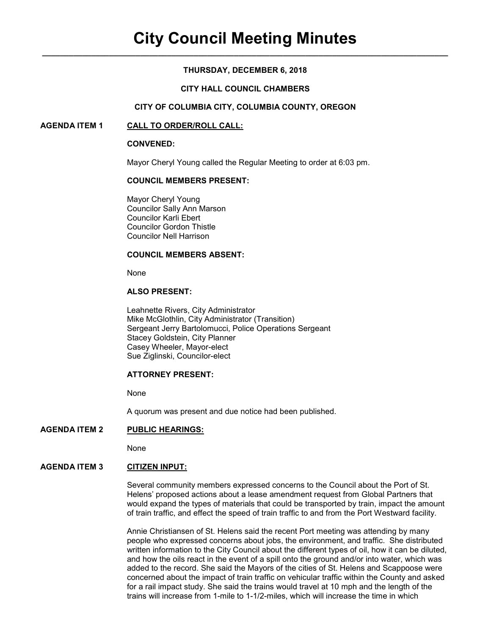## **THURSDAY, DECEMBER 6, 2018**

#### **CITY HALL COUNCIL CHAMBERS**

#### **CITY OF COLUMBIA CITY, COLUMBIA COUNTY, OREGON**

#### **AGENDA ITEM 1 CALL TO ORDER/ROLL CALL:**

#### **CONVENED:**

Mayor Cheryl Young called the Regular Meeting to order at 6:03 pm.

### **COUNCIL MEMBERS PRESENT:**

 Mayor Cheryl Young Councilor Sally Ann Marson Councilor Karli Ebert Councilor Gordon Thistle Councilor Nell Harrison

#### **COUNCIL MEMBERS ABSENT:**

None

# **ALSO PRESENT:**

Leahnette Rivers, City Administrator Mike McGlothlin, City Administrator (Transition) Sergeant Jerry Bartolomucci, Police Operations Sergeant Stacey Goldstein, City Planner Casey Wheeler, Mayor-elect Sue Ziglinski, Councilor-elect

#### **ATTORNEY PRESENT:**

None

A quorum was present and due notice had been published.

#### **AGENDA ITEM 2 PUBLIC HEARINGS:**

None

# **AGENDA ITEM 3 CITIZEN INPUT:**

Several community members expressed concerns to the Council about the Port of St. Helens' proposed actions about a lease amendment request from Global Partners that would expand the types of materials that could be transported by train, impact the amount of train traffic, and effect the speed of train traffic to and from the Port Westward facility.

Annie Christiansen of St. Helens said the recent Port meeting was attending by many people who expressed concerns about jobs, the environment, and traffic. She distributed written information to the City Council about the different types of oil, how it can be diluted, and how the oils react in the event of a spill onto the ground and/or into water, which was added to the record. She said the Mayors of the cities of St. Helens and Scappoose were concerned about the impact of train traffic on vehicular traffic within the County and asked for a rail impact study. She said the trains would travel at 10 mph and the length of the trains will increase from 1-mile to 1-1/2-miles, which will increase the time in which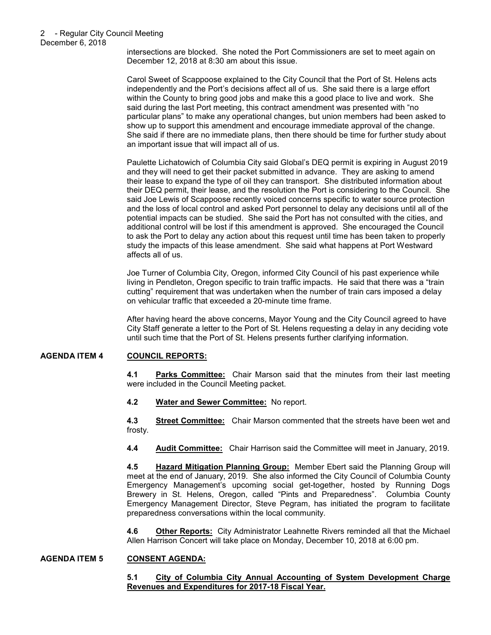#### 2 - Regular City Council Meeting December 6, 2018

intersections are blocked. She noted the Port Commissioners are set to meet again on December 12, 2018 at 8:30 am about this issue.

Carol Sweet of Scappoose explained to the City Council that the Port of St. Helens acts independently and the Port's decisions affect all of us. She said there is a large effort within the County to bring good jobs and make this a good place to live and work. She said during the last Port meeting, this contract amendment was presented with "no particular plans" to make any operational changes, but union members had been asked to show up to support this amendment and encourage immediate approval of the change. She said if there are no immediate plans, then there should be time for further study about an important issue that will impact all of us.

Paulette Lichatowich of Columbia City said Global's DEQ permit is expiring in August 2019 and they will need to get their packet submitted in advance. They are asking to amend their lease to expand the type of oil they can transport. She distributed information about their DEQ permit, their lease, and the resolution the Port is considering to the Council. She said Joe Lewis of Scappoose recently voiced concerns specific to water source protection and the loss of local control and asked Port personnel to delay any decisions until all of the potential impacts can be studied. She said the Port has not consulted with the cities, and additional control will be lost if this amendment is approved. She encouraged the Council to ask the Port to delay any action about this request until time has been taken to properly study the impacts of this lease amendment. She said what happens at Port Westward affects all of us.

Joe Turner of Columbia City, Oregon, informed City Council of his past experience while living in Pendleton, Oregon specific to train traffic impacts. He said that there was a "train cutting" requirement that was undertaken when the number of train cars imposed a delay on vehicular traffic that exceeded a 20-minute time frame.

After having heard the above concerns, Mayor Young and the City Council agreed to have City Staff generate a letter to the Port of St. Helens requesting a delay in any deciding vote until such time that the Port of St. Helens presents further clarifying information.

# **AGENDA ITEM 4 COUNCIL REPORTS:**

**4.1 Parks Committee:** Chair Marson said that the minutes from their last meeting were included in the Council Meeting packet.

**4.2 Water and Sewer Committee:** No report.

**4.3 Street Committee:** Chair Marson commented that the streets have been wet and frosty.

**4.4 Audit Committee:** Chair Harrison said the Committee will meet in January, 2019.

**4.5 Hazard Mitigation Planning Group:** Member Ebert said the Planning Group will meet at the end of January, 2019. She also informed the City Council of Columbia County Emergency Management's upcoming social get-together, hosted by Running Dogs Brewery in St. Helens, Oregon, called "Pints and Preparedness". Columbia County Emergency Management Director, Steve Pegram, has initiated the program to facilitate preparedness conversations within the local community.

**4.6 Other Reports:** City Administrator Leahnette Rivers reminded all that the Michael Allen Harrison Concert will take place on Monday, December 10, 2018 at 6:00 pm.

#### **AGENDA ITEM 5 CONSENT AGENDA:**

## **5.1 City of Columbia City Annual Accounting of System Development Charge Revenues and Expenditures for 2017-18 Fiscal Year.**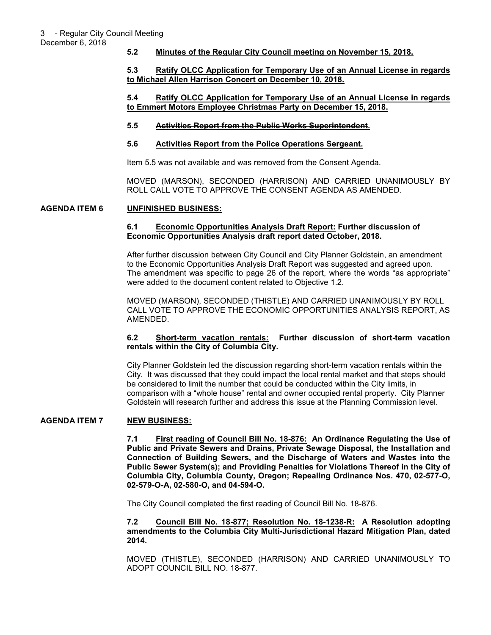December 6, 2018

## **5.2 Minutes of the Regular City Council meeting on November 15, 2018.**

## **5.3 Ratify OLCC Application for Temporary Use of an Annual License in regards to Michael Allen Harrison Concert on December 10, 2018.**

### **5.4 Ratify OLCC Application for Temporary Use of an Annual License in regards to Emmert Motors Employee Christmas Party on December 15, 2018.**

## **5.5 Activities Report from the Public Works Superintendent.**

## **5.6 Activities Report from the Police Operations Sergeant.**

Item 5.5 was not available and was removed from the Consent Agenda.

MOVED (MARSON), SECONDED (HARRISON) AND CARRIED UNANIMOUSLY BY ROLL CALL VOTE TO APPROVE THE CONSENT AGENDA AS AMENDED.

## **AGENDA ITEM 6 UNFINISHED BUSINESS:**

### **6.1 Economic Opportunities Analysis Draft Report: Further discussion of Economic Opportunities Analysis draft report dated October, 2018.**

After further discussion between City Council and City Planner Goldstein, an amendment to the Economic Opportunities Analysis Draft Report was suggested and agreed upon. The amendment was specific to page 26 of the report, where the words "as appropriate" were added to the document content related to Objective 1.2.

MOVED (MARSON), SECONDED (THISTLE) AND CARRIED UNANIMOUSLY BY ROLL CALL VOTE TO APPROVE THE ECONOMIC OPPORTUNITIES ANALYSIS REPORT, AS AMENDED.

## **6.2 Short-term vacation rentals: Further discussion of short-term vacation rentals within the City of Columbia City.**

City Planner Goldstein led the discussion regarding short-term vacation rentals within the City. It was discussed that they could impact the local rental market and that steps should be considered to limit the number that could be conducted within the City limits, in comparison with a "whole house" rental and owner occupied rental property. City Planner Goldstein will research further and address this issue at the Planning Commission level.

# **AGENDA ITEM 7 NEW BUSINESS:**

**7.1 First reading of Council Bill No. 18-876: An Ordinance Regulating the Use of Public and Private Sewers and Drains, Private Sewage Disposal, the Installation and Connection of Building Sewers, and the Discharge of Waters and Wastes into the Public Sewer System(s); and Providing Penalties for Violations Thereof in the City of Columbia City, Columbia County, Oregon; Repealing Ordinance Nos. 470, 02-577-O, 02-579-O-A, 02-580-O, and 04-594-O.** 

The City Council completed the first reading of Council Bill No. 18-876.

**7.2 Council Bill No. 18-877; Resolution No. 18-1238-R: A Resolution adopting amendments to the Columbia City Multi-Jurisdictional Hazard Mitigation Plan, dated 2014.** 

MOVED (THISTLE), SECONDED (HARRISON) AND CARRIED UNANIMOUSLY TO ADOPT COUNCIL BILL NO. 18-877.